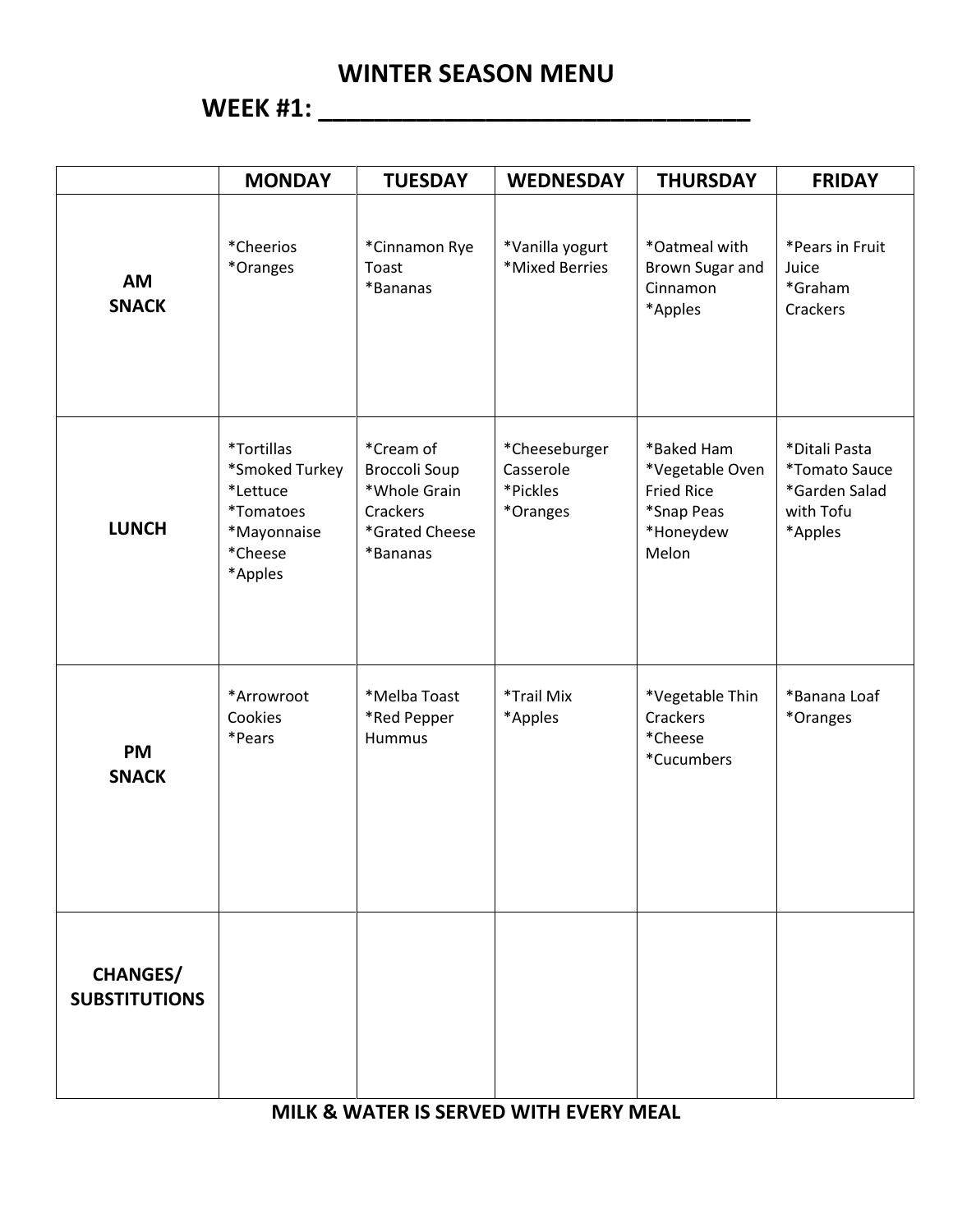**WEEK #1: \_\_\_\_\_\_\_\_\_\_\_\_\_\_\_\_\_\_\_\_\_\_\_\_\_\_\_\_\_\_\_**

|                                         | <b>MONDAY</b>                                                                              | <b>TUESDAY</b>                                                                              | <b>WEDNESDAY</b>                                   | <b>THURSDAY</b>                                                                        | <b>FRIDAY</b>                                                                         |
|-----------------------------------------|--------------------------------------------------------------------------------------------|---------------------------------------------------------------------------------------------|----------------------------------------------------|----------------------------------------------------------------------------------------|---------------------------------------------------------------------------------------|
| <b>AM</b><br><b>SNACK</b>               | *Cheerios<br>*Oranges                                                                      | *Cinnamon Rye<br>Toast<br>*Bananas                                                          | *Vanilla yogurt<br>*Mixed Berries                  | *Oatmeal with<br>Brown Sugar and<br>Cinnamon<br>*Apples                                | *Pears in Fruit<br>Juice<br>*Graham<br>Crackers                                       |
| <b>LUNCH</b>                            | *Tortillas<br>*Smoked Turkey<br>*Lettuce<br>*Tomatoes<br>*Mayonnaise<br>*Cheese<br>*Apples | *Cream of<br><b>Broccoli Soup</b><br>*Whole Grain<br>Crackers<br>*Grated Cheese<br>*Bananas | *Cheeseburger<br>Casserole<br>*Pickles<br>*Oranges | *Baked Ham<br>*Vegetable Oven<br><b>Fried Rice</b><br>*Snap Peas<br>*Honeydew<br>Melon | *Ditali Pasta<br><i><b>*Tomato Sauce</b></i><br>*Garden Salad<br>with Tofu<br>*Apples |
| <b>PM</b><br><b>SNACK</b>               | *Arrowroot<br>Cookies<br>*Pears                                                            | *Melba Toast<br>*Red Pepper<br><b>Hummus</b>                                                | *Trail Mix<br>*Apples                              | *Vegetable Thin<br>Crackers<br>*Cheese<br>*Cucumbers                                   | *Banana Loaf<br>*Oranges                                                              |
| <b>CHANGES/</b><br><b>SUBSTITUTIONS</b> |                                                                                            |                                                                                             |                                                    |                                                                                        |                                                                                       |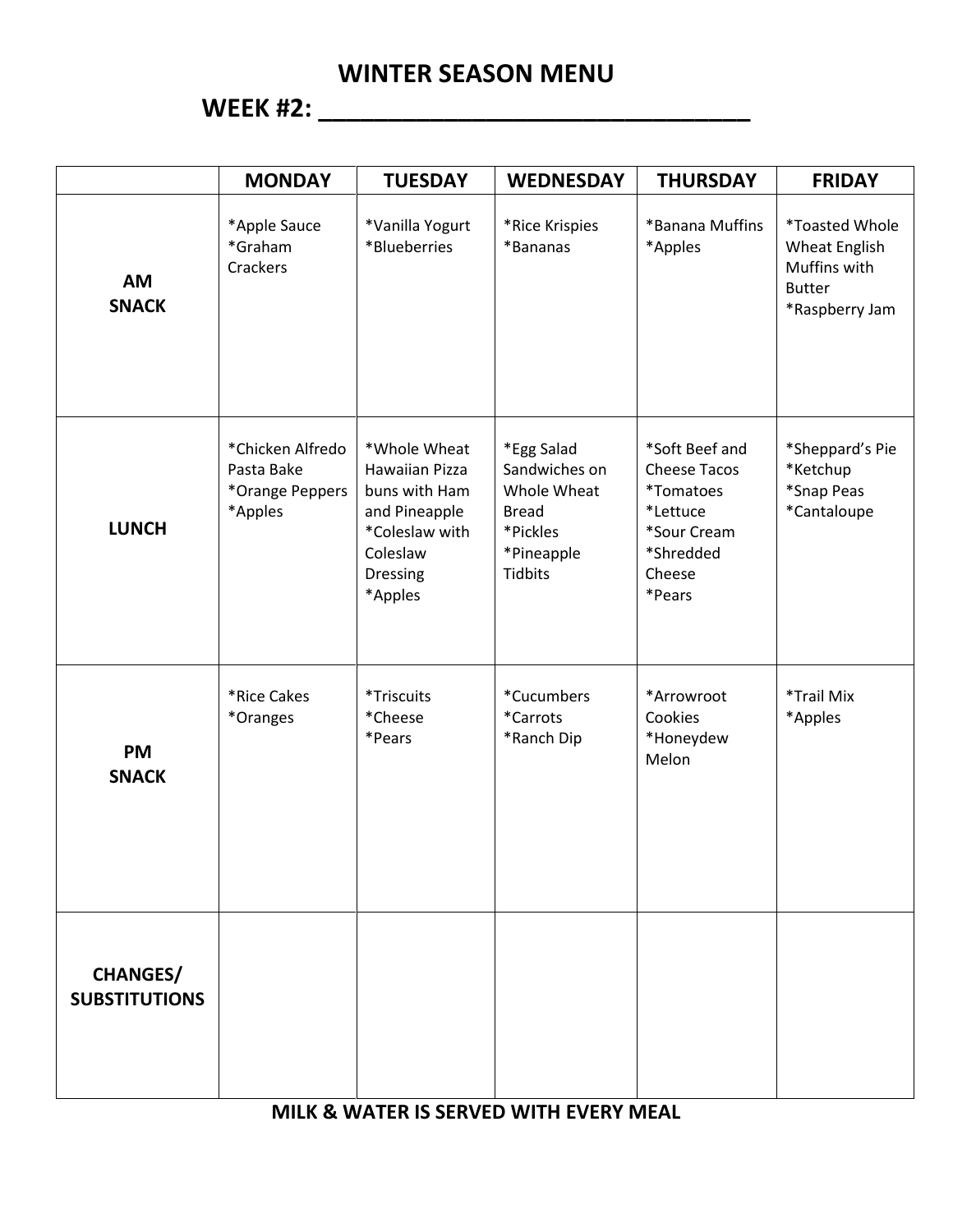# **WEEK #2: \_\_\_\_\_\_\_\_\_\_\_\_\_\_\_\_\_\_\_\_\_\_\_\_\_\_\_\_\_\_\_**

|                                         | <b>MONDAY</b>                                                | <b>TUESDAY</b>                                                                                                               | <b>WEDNESDAY</b>                                                                                       | <b>THURSDAY</b>                                                                                                              | <b>FRIDAY</b>                                                                                    |
|-----------------------------------------|--------------------------------------------------------------|------------------------------------------------------------------------------------------------------------------------------|--------------------------------------------------------------------------------------------------------|------------------------------------------------------------------------------------------------------------------------------|--------------------------------------------------------------------------------------------------|
| <b>AM</b><br><b>SNACK</b>               | *Apple Sauce<br>*Graham<br>Crackers                          | *Vanilla Yogurt<br>*Blueberries                                                                                              | *Rice Krispies<br>*Bananas                                                                             | *Banana Muffins<br>*Apples                                                                                                   | <i>*Toasted Whole</i><br><b>Wheat English</b><br>Muffins with<br><b>Butter</b><br>*Raspberry Jam |
| <b>LUNCH</b>                            | *Chicken Alfredo<br>Pasta Bake<br>*Orange Peppers<br>*Apples | *Whole Wheat<br><b>Hawaiian Pizza</b><br>buns with Ham<br>and Pineapple<br>*Coleslaw with<br>Coleslaw<br>Dressing<br>*Apples | *Egg Salad<br>Sandwiches on<br>Whole Wheat<br><b>Bread</b><br>*Pickles<br>*Pineapple<br><b>Tidbits</b> | *Soft Beef and<br><b>Cheese Tacos</b><br><i><b>*Tomatoes</b></i><br>*Lettuce<br>*Sour Cream<br>*Shredded<br>Cheese<br>*Pears | *Sheppard's Pie<br>*Ketchup<br>*Snap Peas<br>*Cantaloupe                                         |
| <b>PM</b><br><b>SNACK</b>               | *Rice Cakes<br>*Oranges                                      | *Triscuits<br>*Cheese<br>*Pears                                                                                              | *Cucumbers<br>*Carrots<br>*Ranch Dip                                                                   | *Arrowroot<br>Cookies<br>*Honeydew<br>Melon                                                                                  | *Trail Mix<br>*Apples                                                                            |
| <b>CHANGES/</b><br><b>SUBSTITUTIONS</b> |                                                              |                                                                                                                              |                                                                                                        |                                                                                                                              |                                                                                                  |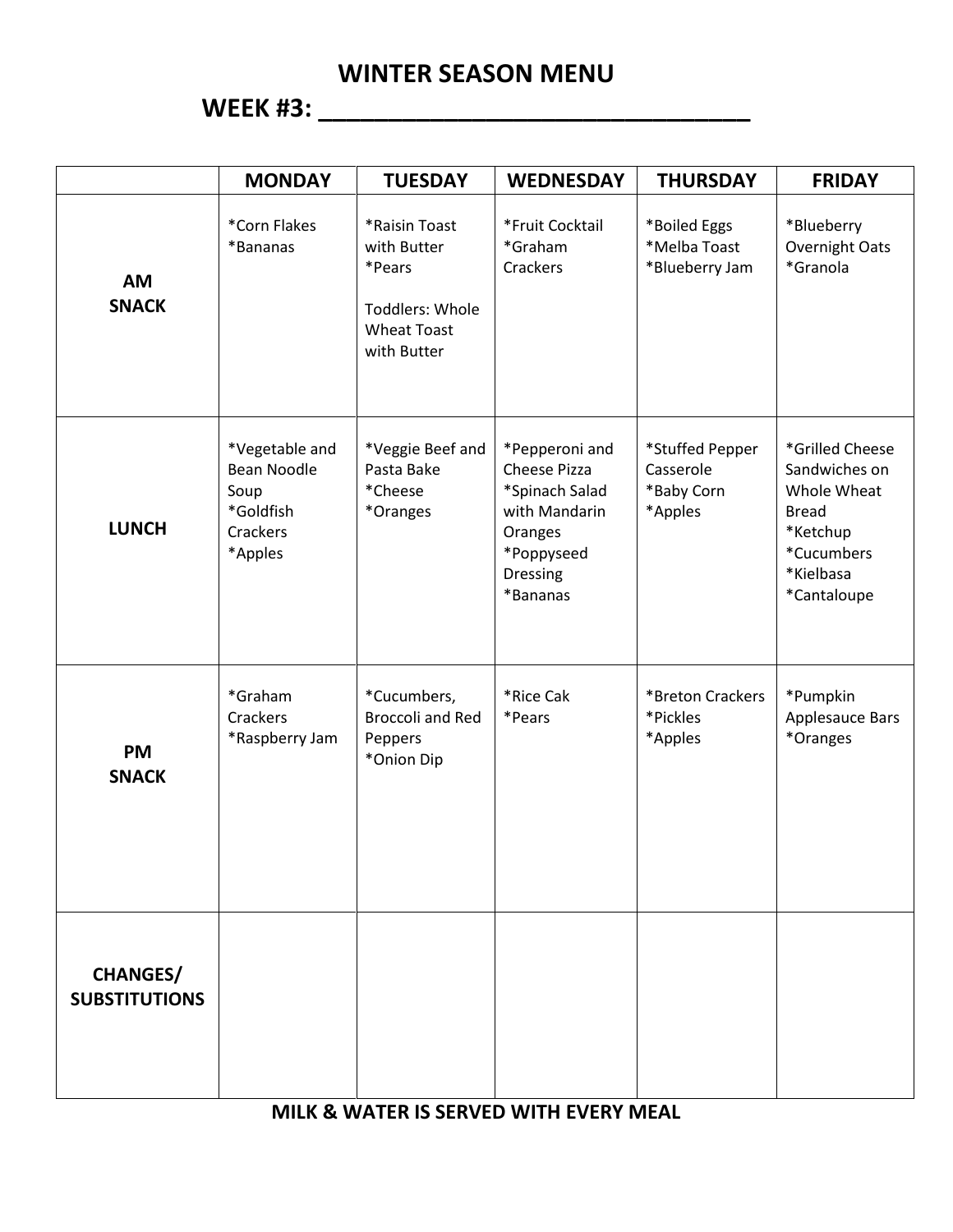# **WEEK #3: \_\_\_\_\_\_\_\_\_\_\_\_\_\_\_\_\_\_\_\_\_\_\_\_\_\_\_\_\_\_\_**

|                                         | <b>MONDAY</b>                                                                    | <b>TUESDAY</b>                                                                                 | <b>WEDNESDAY</b>                                                                                                   | <b>THURSDAY</b>                                       | <b>FRIDAY</b>                                                                                                         |
|-----------------------------------------|----------------------------------------------------------------------------------|------------------------------------------------------------------------------------------------|--------------------------------------------------------------------------------------------------------------------|-------------------------------------------------------|-----------------------------------------------------------------------------------------------------------------------|
| <b>AM</b><br><b>SNACK</b>               | *Corn Flakes<br>*Bananas                                                         | *Raisin Toast<br>with Butter<br>*Pears<br>Toddlers: Whole<br><b>Wheat Toast</b><br>with Butter | *Fruit Cocktail<br>*Graham<br>Crackers                                                                             | *Boiled Eggs<br>*Melba Toast<br>*Blueberry Jam        | *Blueberry<br>Overnight Oats<br>*Granola                                                                              |
| <b>LUNCH</b>                            | *Vegetable and<br><b>Bean Noodle</b><br>Soup<br>*Goldfish<br>Crackers<br>*Apples | *Veggie Beef and<br>Pasta Bake<br>*Cheese<br>*Oranges                                          | *Pepperoni and<br>Cheese Pizza<br>*Spinach Salad<br>with Mandarin<br>Oranges<br>*Poppyseed<br>Dressing<br>*Bananas | *Stuffed Pepper<br>Casserole<br>*Baby Corn<br>*Apples | *Grilled Cheese<br>Sandwiches on<br>Whole Wheat<br><b>Bread</b><br>*Ketchup<br>*Cucumbers<br>*Kielbasa<br>*Cantaloupe |
| <b>PM</b><br><b>SNACK</b>               | *Graham<br>Crackers<br>*Raspberry Jam                                            | *Cucumbers,<br><b>Broccoli and Red</b><br>Peppers<br>*Onion Dip                                | *Rice Cak<br>*Pears                                                                                                | *Breton Crackers<br>*Pickles<br>*Apples               | *Pumpkin<br>Applesauce Bars<br>*Oranges                                                                               |
| <b>CHANGES/</b><br><b>SUBSTITUTIONS</b> |                                                                                  |                                                                                                |                                                                                                                    |                                                       |                                                                                                                       |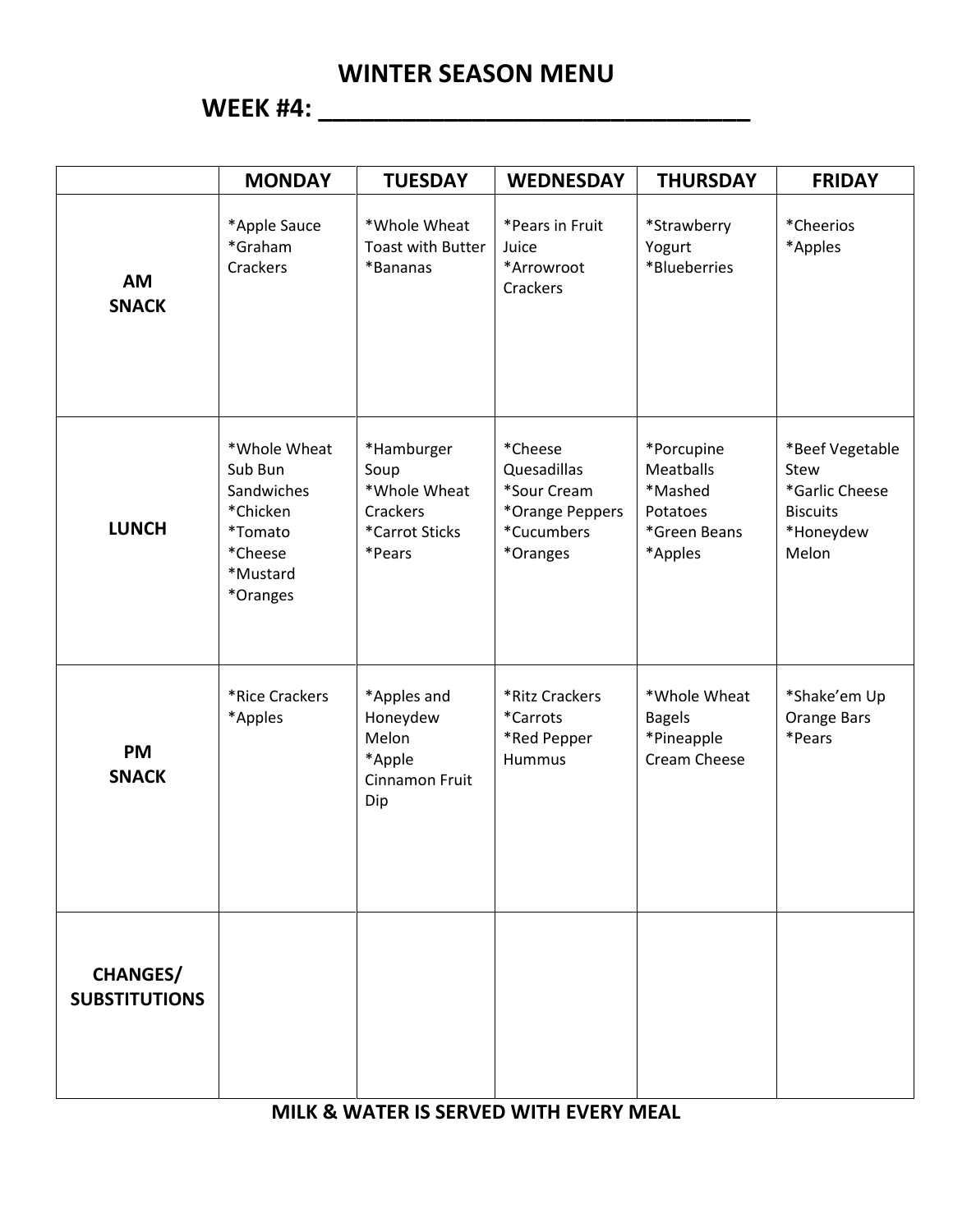### **WEEK #4: \_\_\_\_\_\_\_\_\_\_\_\_\_\_\_\_\_\_\_\_\_\_\_\_\_\_\_\_\_\_\_**

|                                         | <b>MONDAY</b>                                                                                   | <b>TUESDAY</b>                                                             | <b>WEDNESDAY</b>                                                                   | <b>THURSDAY</b>                                                                  | <b>FRIDAY</b>                                                                      |
|-----------------------------------------|-------------------------------------------------------------------------------------------------|----------------------------------------------------------------------------|------------------------------------------------------------------------------------|----------------------------------------------------------------------------------|------------------------------------------------------------------------------------|
| <b>AM</b><br><b>SNACK</b>               | *Apple Sauce<br>*Graham<br>Crackers                                                             | *Whole Wheat<br><b>Toast with Butter</b><br>*Bananas                       | *Pears in Fruit<br>Juice<br>*Arrowroot<br>Crackers                                 | *Strawberry<br>Yogurt<br>*Blueberries                                            | *Cheerios<br>*Apples                                                               |
| <b>LUNCH</b>                            | *Whole Wheat<br>Sub Bun<br>Sandwiches<br>*Chicken<br>*Tomato<br>*Cheese<br>*Mustard<br>*Oranges | *Hamburger<br>Soup<br>*Whole Wheat<br>Crackers<br>*Carrot Sticks<br>*Pears | *Cheese<br>Quesadillas<br>*Sour Cream<br>*Orange Peppers<br>*Cucumbers<br>*Oranges | *Porcupine<br><b>Meatballs</b><br>*Mashed<br>Potatoes<br>*Green Beans<br>*Apples | *Beef Vegetable<br>Stew<br>*Garlic Cheese<br><b>Biscuits</b><br>*Honeydew<br>Melon |
| <b>PM</b><br><b>SNACK</b>               | *Rice Crackers<br>*Apples                                                                       | *Apples and<br>Honeydew<br>Melon<br>*Apple<br>Cinnamon Fruit<br>Dip        | *Ritz Crackers<br>*Carrots<br>*Red Pepper<br>Hummus                                | *Whole Wheat<br><b>Bagels</b><br>*Pineapple<br>Cream Cheese                      | *Shake'em Up<br>Orange Bars<br>*Pears                                              |
| <b>CHANGES/</b><br><b>SUBSTITUTIONS</b> |                                                                                                 |                                                                            |                                                                                    |                                                                                  |                                                                                    |